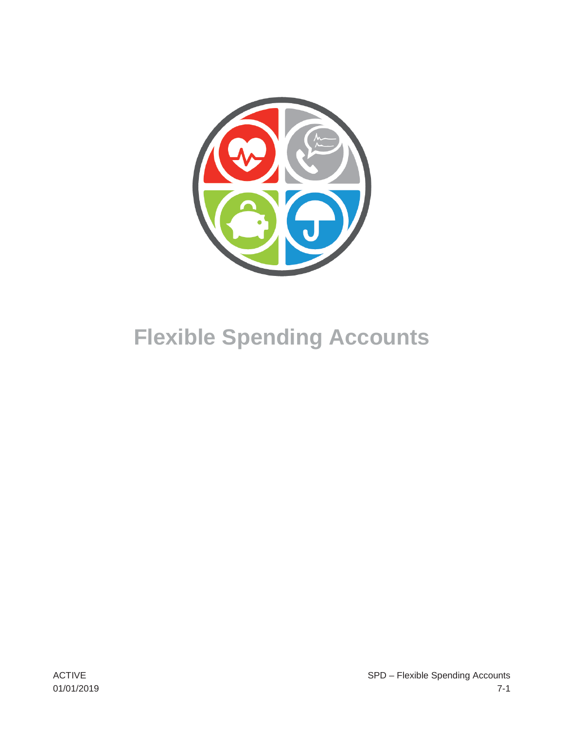

# **Flexible Spending Accounts**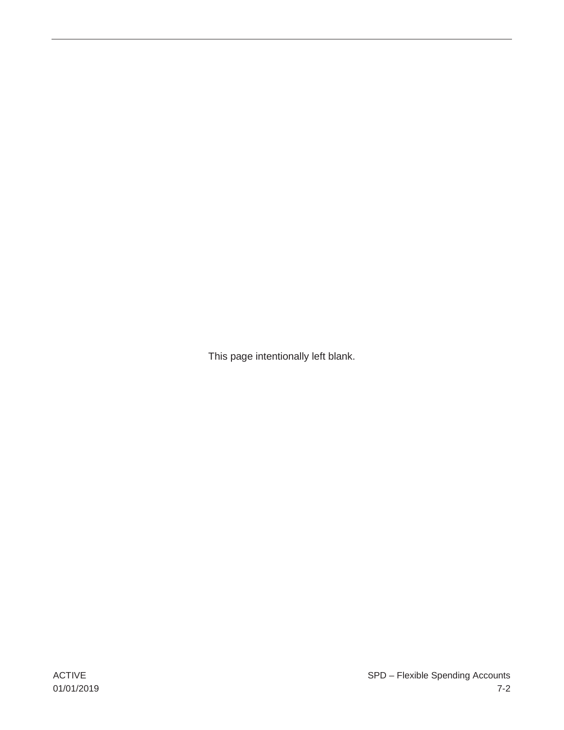This page intentionally left blank.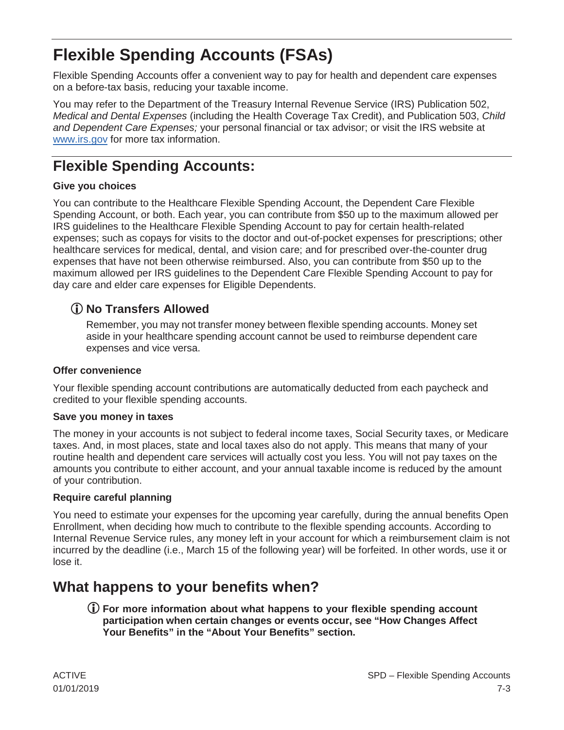# **Flexible Spending Accounts (FSAs)**

Flexible Spending Accounts offer a convenient way to pay for health and dependent care expenses on a before-tax basis, reducing your taxable income.

You may refer to the Department of the Treasury Internal Revenue Service (IRS) Publication 502, *Medical and Dental Expenses* (including the Health Coverage Tax Credit), and Publication 503, *Child and Dependent Care Expenses;* your personal financial or tax advisor; or visit the IRS website at www.irs.gov for more tax information.

## **Flexible Spending Accounts:**

### **Give you choices**

You can contribute to the Healthcare Flexible Spending Account, the Dependent Care Flexible Spending Account, or both. Each year, you can contribute from \$50 up to the maximum allowed per IRS guidelines to the Healthcare Flexible Spending Account to pay for certain health-related expenses; such as copays for visits to the doctor and out-of-pocket expenses for prescriptions; other healthcare services for medical, dental, and vision care; and for prescribed over-the-counter drug expenses that have not been otherwise reimbursed. Also, you can contribute from \$50 up to the maximum allowed per IRS guidelines to the Dependent Care Flexible Spending Account to pay for day care and elder care expenses for Eligible Dependents.

### L**No Transfers Allowed**

Remember, you may not transfer money between flexible spending accounts. Money set aside in your healthcare spending account cannot be used to reimburse dependent care expenses and vice versa.

#### **Offer convenience**

Your flexible spending account contributions are automatically deducted from each paycheck and credited to your flexible spending accounts.

#### **Save you money in taxes**

The money in your accounts is not subject to federal income taxes, Social Security taxes, or Medicare taxes. And, in most places, state and local taxes also do not apply. This means that many of your routine health and dependent care services will actually cost you less. You will not pay taxes on the amounts you contribute to either account, and your annual taxable income is reduced by the amount of your contribution.

### **Require careful planning**

You need to estimate your expenses for the upcoming year carefully, during the annual benefits Open Enrollment, when deciding how much to contribute to the flexible spending accounts. According to Internal Revenue Service rules, any money left in your account for which a reimbursement claim is not incurred by the deadline (i.e., March 15 of the following year) will be forfeited. In other words, use it or lose it.

### **What happens to your benefits when?**

L**For more information about what happens to your flexible spending account participation when certain changes or events occur, see "How Changes Affect Your Benefits" in the "About Your Benefits" section.**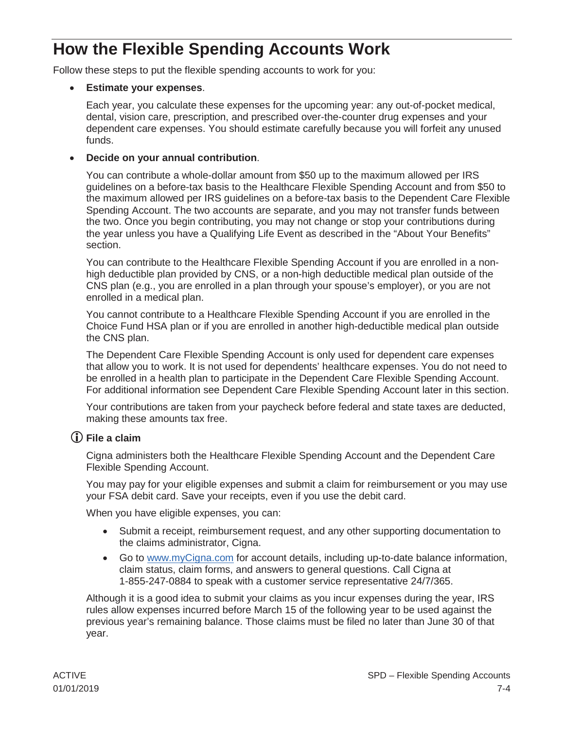# **How the Flexible Spending Accounts Work**

Follow these steps to put the flexible spending accounts to work for you:

#### x **Estimate your expenses**.

Each year, you calculate these expenses for the upcoming year: any out-of-pocket medical, dental, vision care, prescription, and prescribed over-the-counter drug expenses and your dependent care expenses. You should estimate carefully because you will forfeit any unused funds.

### x **Decide on your annual contribution**.

You can contribute a whole-dollar amount from \$50 up to the maximum allowed per IRS guidelines on a before-tax basis to the Healthcare Flexible Spending Account and from \$50 to the maximum allowed per IRS guidelines on a before-tax basis to the Dependent Care Flexible Spending Account. The two accounts are separate, and you may not transfer funds between the two. Once you begin contributing, you may not change or stop your contributions during the year unless you have a Qualifying Life Event as described in the "About Your Benefits" section.

You can contribute to the Healthcare Flexible Spending Account if you are enrolled in a nonhigh deductible plan provided by CNS, or a non-high deductible medical plan outside of the CNS plan (e.g., you are enrolled in a plan through your spouse's employer), or you are not enrolled in a medical plan.

You cannot contribute to a Healthcare Flexible Spending Account if you are enrolled in the Choice Fund HSA plan or if you are enrolled in another high-deductible medical plan outside the CNS plan.

The Dependent Care Flexible Spending Account is only used for dependent care expenses that allow you to work. It is not used for dependents' healthcare expenses. You do not need to be enrolled in a health plan to participate in the Dependent Care Flexible Spending Account. For additional information see Dependent Care Flexible Spending Account later in this section.

Your contributions are taken from your paycheck before federal and state taxes are deducted, making these amounts tax free.

### L**File a claim**

Cigna administers both the Healthcare Flexible Spending Account and the Dependent Care Flexible Spending Account.

You may pay for your eligible expenses and submit a claim for reimbursement or you may use your FSA debit card. Save your receipts, even if you use the debit card.

When you have eligible expenses, you can:

- Submit a receipt, reimbursement request, and any other supporting documentation to the claims administrator, Cigna.
- Go to www.myCigna.com for account details, including up-to-date balance information, claim status, claim forms, and answers to general questions. Call Cigna at 1-855-247-0884 to speak with a customer service representative 24/7/365.

Although it is a good idea to submit your claims as you incur expenses during the year, IRS rules allow expenses incurred before March 15 of the following year to be used against the previous year's remaining balance. Those claims must be filed no later than June 30 of that year.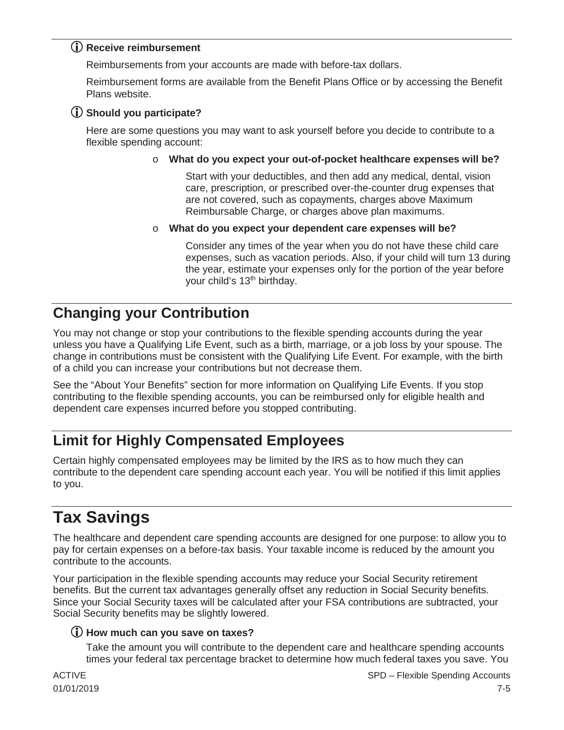### L**Receive reimbursement**

Reimbursements from your accounts are made with before-tax dollars.

Reimbursement forms are available from the Benefit Plans Office or by accessing the Benefit Plans website.

### L**Should you participate?**

Here are some questions you may want to ask yourself before you decide to contribute to a flexible spending account:

#### o **What do you expect your out-of-pocket healthcare expenses will be?**

Start with your deductibles, and then add any medical, dental, vision care, prescription, or prescribed over-the-counter drug expenses that are not covered, such as copayments, charges above Maximum Reimbursable Charge, or charges above plan maximums.

o **What do you expect your dependent care expenses will be?**

Consider any times of the year when you do not have these child care expenses, such as vacation periods. Also, if your child will turn 13 during the year, estimate your expenses only for the portion of the year before your child's 13<sup>th</sup> birthday.

### **Changing your Contribution**

You may not change or stop your contributions to the flexible spending accounts during the year unless you have a Qualifying Life Event, such as a birth, marriage, or a job loss by your spouse. The change in contributions must be consistent with the Qualifying Life Event. For example, with the birth of a child you can increase your contributions but not decrease them.

See the "About Your Benefits" section for more information on Qualifying Life Events. If you stop contributing to the flexible spending accounts, you can be reimbursed only for eligible health and dependent care expenses incurred before you stopped contributing.

### **Limit for Highly Compensated Employees**

Certain highly compensated employees may be limited by the IRS as to how much they can contribute to the dependent care spending account each year. You will be notified if this limit applies to you.

# **Tax Savings**

The healthcare and dependent care spending accounts are designed for one purpose: to allow you to pay for certain expenses on a before-tax basis. Your taxable income is reduced by the amount you contribute to the accounts.

Your participation in the flexible spending accounts may reduce your Social Security retirement benefits. But the current tax advantages generally offset any reduction in Social Security benefits. Since your Social Security taxes will be calculated after your FSA contributions are subtracted, your Social Security benefits may be slightly lowered.

### L**How much can you save on taxes?**

Take the amount you will contribute to the dependent care and healthcare spending accounts times your federal tax percentage bracket to determine how much federal taxes you save. You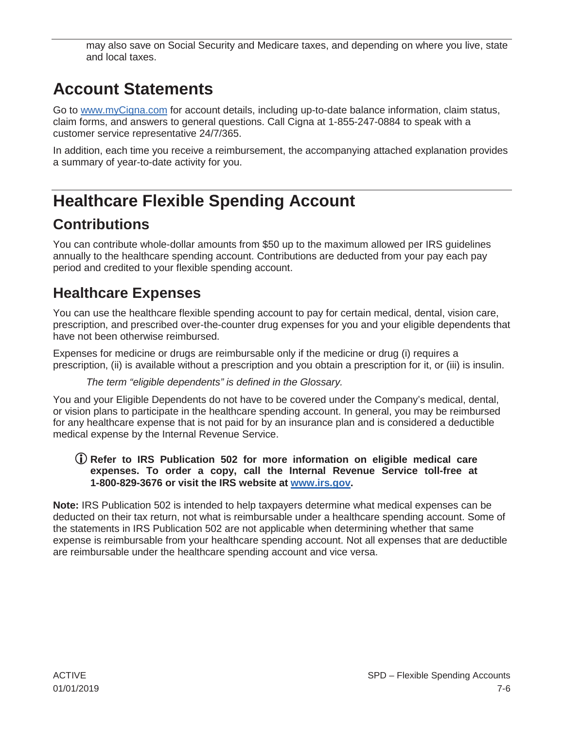may also save on Social Security and Medicare taxes, and depending on where you live, state and local taxes.

# **Account Statements**

Go to www.myCigna.com for account details, including up-to-date balance information, claim status, claim forms, and answers to general questions. Call Cigna at 1-855-247-0884 to speak with a customer service representative 24/7/365.

In addition, each time you receive a reimbursement, the accompanying attached explanation provides a summary of year-to-date activity for you.

# **Healthcare Flexible Spending Account**

## **Contributions**

You can contribute whole-dollar amounts from \$50 up to the maximum allowed per IRS guidelines annually to the healthcare spending account. Contributions are deducted from your pay each pay period and credited to your flexible spending account.

### **Healthcare Expenses**

You can use the healthcare flexible spending account to pay for certain medical, dental, vision care, prescription, and prescribed over-the-counter drug expenses for you and your eligible dependents that have not been otherwise reimbursed.

Expenses for medicine or drugs are reimbursable only if the medicine or drug (i) requires a prescription, (ii) is available without a prescription and you obtain a prescription for it, or (iii) is insulin.

### *The term "eligible dependents" is defined in the Glossary.*

You and your Eligible Dependents do not have to be covered under the Company's medical, dental, or vision plans to participate in the healthcare spending account. In general, you may be reimbursed for any healthcare expense that is not paid for by an insurance plan and is considered a deductible medical expense by the Internal Revenue Service.

#### L**Refer to IRS Publication 502 for more information on eligible medical care expenses. To order a copy, call the Internal Revenue Service toll-free at 1-800-829-3676 or visit the IRS website at www.irs.gov.**

**Note:** IRS Publication 502 is intended to help taxpayers determine what medical expenses can be deducted on their tax return, not what is reimbursable under a healthcare spending account. Some of the statements in IRS Publication 502 are not applicable when determining whether that same expense is reimbursable from your healthcare spending account. Not all expenses that are deductible are reimbursable under the healthcare spending account and vice versa.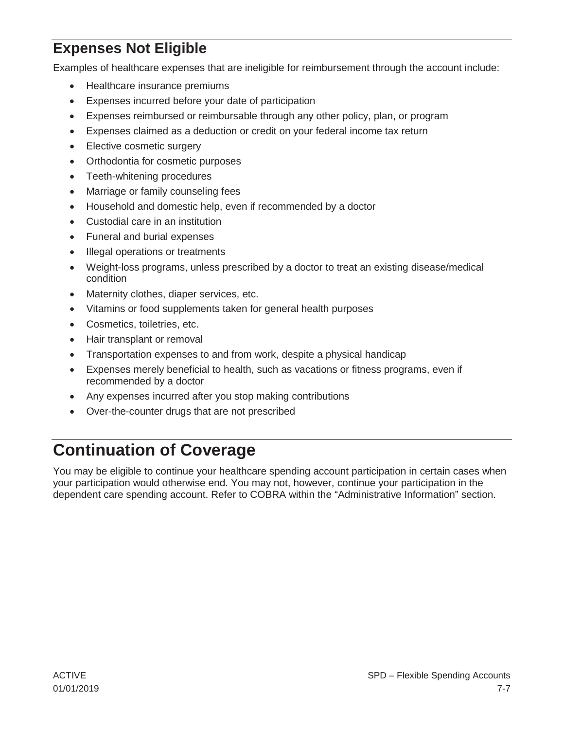## **Expenses Not Eligible**

Examples of healthcare expenses that are ineligible for reimbursement through the account include:

- Healthcare insurance premiums
- Expenses incurred before your date of participation
- Expenses reimbursed or reimbursable through any other policy, plan, or program
- Expenses claimed as a deduction or credit on your federal income tax return
- Elective cosmetic surgery
- Orthodontia for cosmetic purposes
- Teeth-whitening procedures
- Marriage or family counseling fees
- Household and domestic help, even if recommended by a doctor
- Custodial care in an institution
- Funeral and burial expenses
- Illegal operations or treatments
- Weight-loss programs, unless prescribed by a doctor to treat an existing disease/medical condition
- Maternity clothes, diaper services, etc.
- Vitamins or food supplements taken for general health purposes
- Cosmetics, toiletries, etc.
- Hair transplant or removal
- Transportation expenses to and from work, despite a physical handicap
- Expenses merely beneficial to health, such as vacations or fitness programs, even if recommended by a doctor
- Any expenses incurred after you stop making contributions
- Over-the-counter drugs that are not prescribed

# **Continuation of Coverage**

You may be eligible to continue your healthcare spending account participation in certain cases when your participation would otherwise end. You may not, however, continue your participation in the dependent care spending account. Refer to COBRA within the "Administrative Information" section.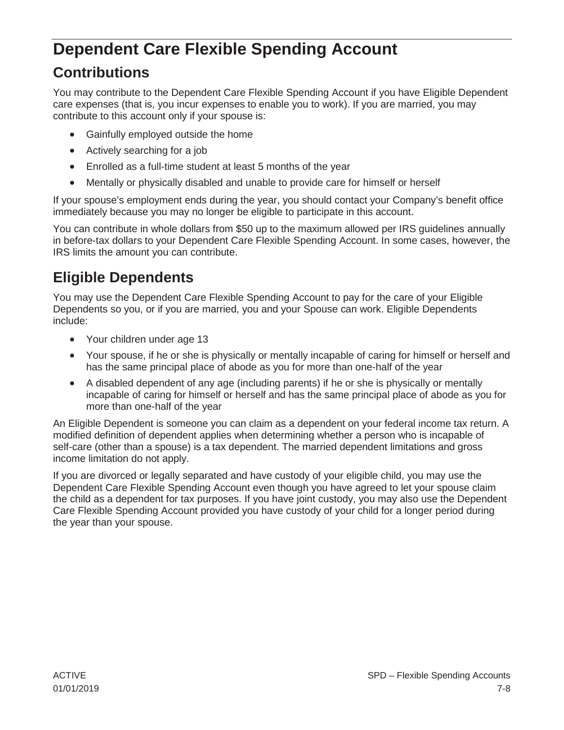# **Dependent Care Flexible Spending Account**

### **Contributions**

You may contribute to the Dependent Care Flexible Spending Account if you have Eligible Dependent care expenses (that is, you incur expenses to enable you to work). If you are married, you may contribute to this account only if your spouse is:

- Gainfully employed outside the home
- Actively searching for a job
- Enrolled as a full-time student at least 5 months of the year
- Mentally or physically disabled and unable to provide care for himself or herself

If your spouse's employment ends during the year, you should contact your Company's benefit office immediately because you may no longer be eligible to participate in this account.

You can contribute in whole dollars from \$50 up to the maximum allowed per IRS guidelines annually in before-tax dollars to your Dependent Care Flexible Spending Account. In some cases, however, the IRS limits the amount you can contribute.

# **Eligible Dependents**

You may use the Dependent Care Flexible Spending Account to pay for the care of your Eligible Dependents so you, or if you are married, you and your Spouse can work. Eligible Dependents include:

- Your children under age 13
- Your spouse, if he or she is physically or mentally incapable of caring for himself or herself and has the same principal place of abode as you for more than one-half of the year
- A disabled dependent of any age (including parents) if he or she is physically or mentally incapable of caring for himself or herself and has the same principal place of abode as you for more than one-half of the year

An Eligible Dependent is someone you can claim as a dependent on your federal income tax return. A modified definition of dependent applies when determining whether a person who is incapable of self-care (other than a spouse) is a tax dependent. The married dependent limitations and gross income limitation do not apply.

If you are divorced or legally separated and have custody of your eligible child, you may use the Dependent Care Flexible Spending Account even though you have agreed to let your spouse claim the child as a dependent for tax purposes. If you have joint custody, you may also use the Dependent Care Flexible Spending Account provided you have custody of your child for a longer period during the year than your spouse.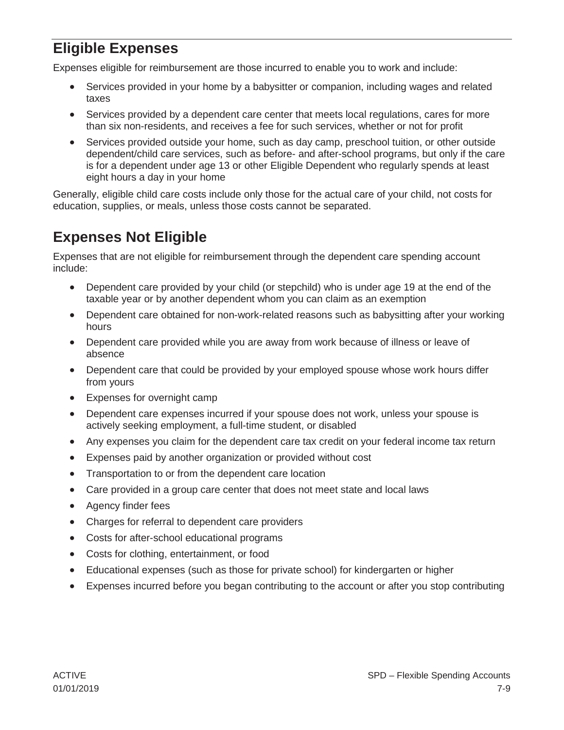## **Eligible Expenses**

Expenses eligible for reimbursement are those incurred to enable you to work and include:

- Services provided in your home by a babysitter or companion, including wages and related taxes
- Services provided by a dependent care center that meets local regulations, cares for more than six non-residents, and receives a fee for such services, whether or not for profit
- Services provided outside your home, such as day camp, preschool tuition, or other outside dependent/child care services, such as before- and after-school programs, but only if the care is for a dependent under age 13 or other Eligible Dependent who regularly spends at least eight hours a day in your home

Generally, eligible child care costs include only those for the actual care of your child, not costs for education, supplies, or meals, unless those costs cannot be separated.

## **Expenses Not Eligible**

Expenses that are not eligible for reimbursement through the dependent care spending account include:

- Dependent care provided by your child (or stepchild) who is under age 19 at the end of the taxable year or by another dependent whom you can claim as an exemption
- Dependent care obtained for non-work-related reasons such as babysitting after your working hours
- Dependent care provided while you are away from work because of illness or leave of absence
- Dependent care that could be provided by your employed spouse whose work hours differ from yours
- Expenses for overnight camp
- Dependent care expenses incurred if your spouse does not work, unless your spouse is actively seeking employment, a full-time student, or disabled
- Any expenses you claim for the dependent care tax credit on your federal income tax return
- Expenses paid by another organization or provided without cost
- Transportation to or from the dependent care location
- Care provided in a group care center that does not meet state and local laws
- Agency finder fees
- Charges for referral to dependent care providers
- Costs for after-school educational programs
- Costs for clothing, entertainment, or food
- Educational expenses (such as those for private school) for kindergarten or higher
- Expenses incurred before you began contributing to the account or after you stop contributing